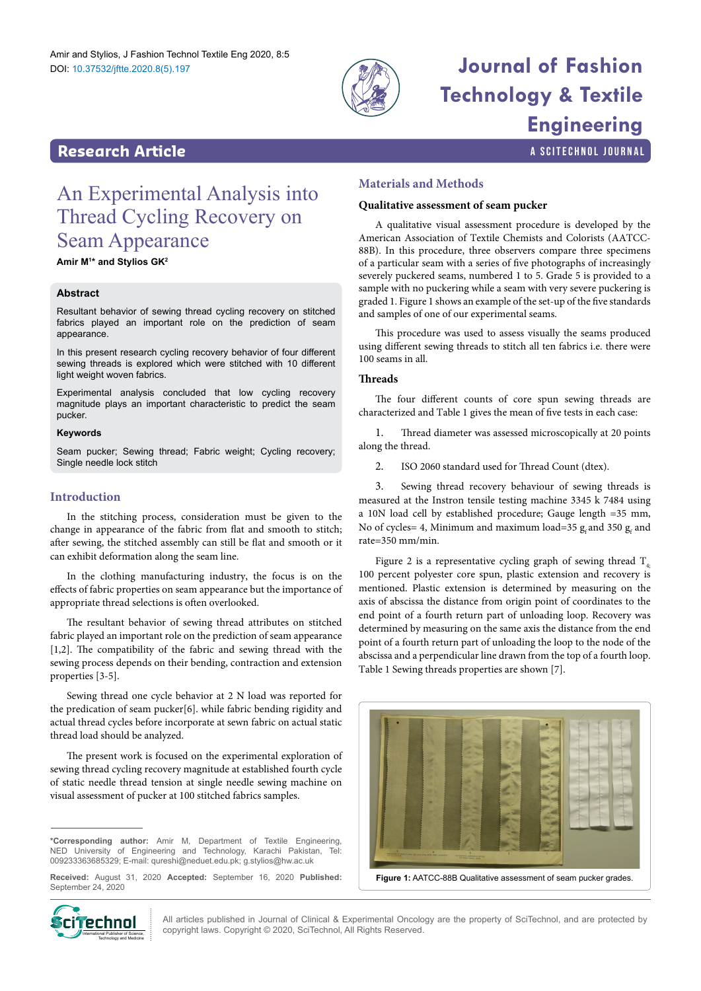

## **Journal of Fashion Technology & Textile Engineering**

a SciTechnol journal

#### **Research Article**

### An Experimental Analysis into Thread Cycling Recovery on Seam Appearance

**Amir M1 \* and Stylios GK2**

#### **Abstract**

Resultant behavior of sewing thread cycling recovery on stitched fabrics played an important role on the prediction of seam appearance.

In this present research cycling recovery behavior of four different sewing threads is explored which were stitched with 10 different light weight woven fabrics.

Experimental analysis concluded that low cycling recovery magnitude plays an important characteristic to predict the seam pucker.

#### **Keywords**

Seam pucker; Sewing thread; Fabric weight; Cycling recovery; Single needle lock stitch

#### **Introduction**

In the stitching process, consideration must be given to the change in appearance of the fabric from flat and smooth to stitch; after sewing, the stitched assembly can still be flat and smooth or it can exhibit deformation along the seam line.

In the clothing manufacturing industry, the focus is on the effects of fabric properties on seam appearance but the importance of appropriate thread selections is often overlooked.

The resultant behavior of sewing thread attributes on stitched fabric played an important role on the prediction of seam appearance [1,2]. The compatibility of the fabric and sewing thread with the sewing process depends on their bending, contraction and extension properties [3-5].

Sewing thread one cycle behavior at 2 N load was reported for the predication of seam pucker[6]. while fabric bending rigidity and actual thread cycles before incorporate at sewn fabric on actual static thread load should be analyzed.

The present work is focused on the experimental exploration of sewing thread cycling recovery magnitude at established fourth cycle of static needle thread tension at single needle sewing machine on visual assessment of pucker at 100 stitched fabrics samples.

**\*Corresponding author:** Amir M, Department of Textile Engineering, NED University of Engineering and Technology, Karachi Pakistan, Tel: 009233363685329; E-mail: qureshi@neduet.edu.pk; g.stylios@hw.ac.uk

**Received:** August 31, 2020 **Accepted:** September 16, 2020 **Published:** September 24, 2020

# Technology and Medicine

All articles published in Journal of Clinical & Experimental Oncology are the property of SciTechnol, and are protected by  $\text{Circ}$  **properting Law All articles published in Journal of Clinical & Experimental Oncolo**<br>copyright laws. Copyright © 2020, SciTechnol, All Rights Reserved.

#### **Materials and Methods**

#### **Qualitative assessment of seam pucker**

A qualitative visual assessment procedure is developed by the American Association of Textile Chemists and Colorists (AATCC-88B). In this procedure, three observers compare three specimens of a particular seam with a series of five photographs of increasingly severely puckered seams, numbered 1 to 5. Grade 5 is provided to a sample with no puckering while a seam with very severe puckering is graded 1. Figure 1 shows an example of the set-up of the five standards and samples of one of our experimental seams.

This procedure was used to assess visually the seams produced using different sewing threads to stitch all ten fabrics i.e. there were 100 seams in all.

#### **Threads**

The four different counts of core spun sewing threads are characterized and Table 1 gives the mean of five tests in each case:

1. Thread diameter was assessed microscopically at 20 points along the thread.

2. ISO 2060 standard used for Thread Count (dtex).

3. Sewing thread recovery behaviour of sewing threads is measured at the Instron tensile testing machine 3345 k 7484 using a 10N load cell by established procedure; Gauge length =35 mm, No of cycles= 4, Minimum and maximum load=35  $g_f$  and 350  $g_f$  and rate=350 mm/min.

Figure 2 is a representative cycling graph of sewing thread  $T_{4}$ . 100 percent polyester core spun, plastic extension and recovery is mentioned. Plastic extension is determined by measuring on the axis of abscissa the distance from origin point of coordinates to the end point of a fourth return part of unloading loop. Recovery was determined by measuring on the same axis the distance from the end point of a fourth return part of unloading the loop to the node of the abscissa and a perpendicular line drawn from the top of a fourth loop. Table 1 Sewing threads properties are shown [7].



**Figure 1:** AATCC-88B Qualitative assessment of seam pucker grades.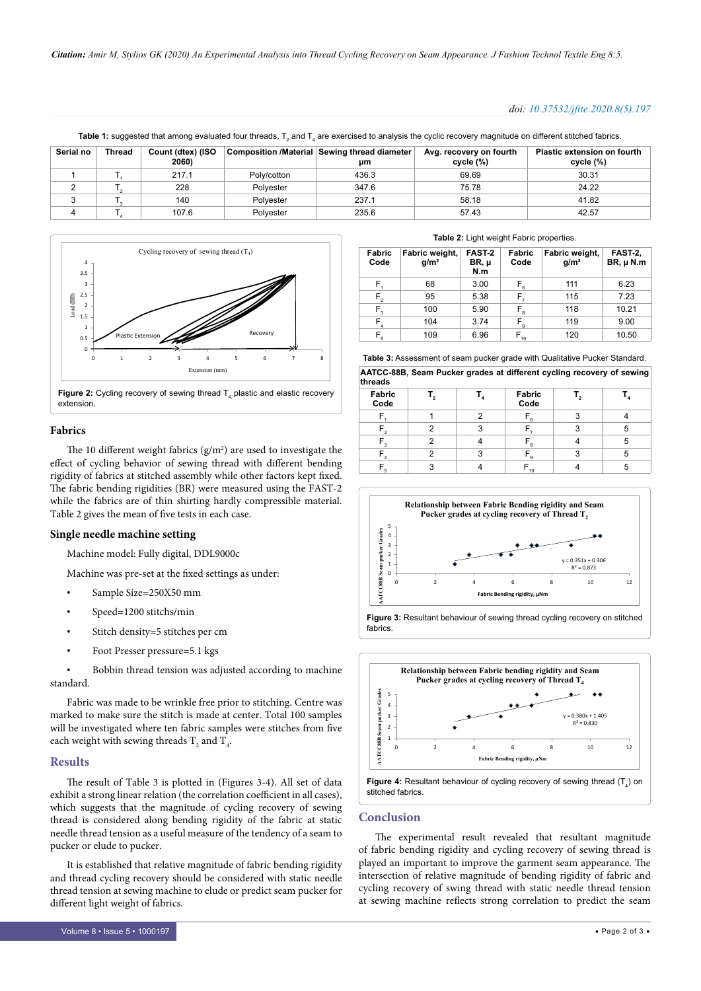#### *doi: 10.37532/jftte.2020.8(5).197*

**Table 1:** suggested that among evaluated four threads, T<sub>2</sub> and T<sub>4</sub> are exercised to analysis the cyclic recovery magnitude on different stitched fabrics.

| Serial no | <b>Thread</b> | Count (dtex) (ISO<br>2060) |             | Composition /Material Sewing thread diameter<br>um | Avg. recovery on fourth<br>cycle (%) | <b>Plastic extension on fourth</b><br>cycle (%) |
|-----------|---------------|----------------------------|-------------|----------------------------------------------------|--------------------------------------|-------------------------------------------------|
|           |               | 217.1                      | Poly/cotton | 436.3                                              | 69.69                                | 30.31                                           |
|           |               | 228                        | Polvester   | 347.6                                              | 75.78                                | 24.22                                           |
|           |               | 140                        | Polvester   | 237.1                                              | 58.18                                | 41.82                                           |
|           |               | 107.6                      | Polvester   | 235.6                                              | 57.43                                | 42.57                                           |



extension.

#### **Fabrics**

The 10 different weight fabrics  $(g/m^2)$  are used to investigate the effect of cycling behavior of sewing thread with different bending rigidity of fabrics at stitched assembly while other factors kept fixed. The fabric bending rigidities (BR) were measured using the FAST-2 while the fabrics are of thin shirting hardly compressible material. Table 2 gives the mean of five tests in each case.

#### **Single needle machine setting**

Machine model: Fully digital, DDL9000c

Machine was pre-set at the fixed settings as under:

- Sample Size=250X50 mm
- Speed=1200 stitchs/min
- Stitch density=5 stitches per cm
- Foot Presser pressure=5.1 kgs

Bobbin thread tension was adjusted according to machine standard.

Fabric was made to be wrinkle free prior to stitching. Centre was marked to make sure the stitch is made at center. Total 100 samples will be investigated where ten fabric samples were stitches from five each weight with sewing threads  $\mathrm{T}_\mathrm{_{2}}$  and  $\mathrm{T}_\mathrm{_{4}}$ .

#### **Results**

The result of Table 3 is plotted in (Figures 3-4). All set of data exhibit a strong linear relation (the correlation coefficient in all cases), which suggests that the magnitude of cycling recovery of sewing thread is considered along bending rigidity of the fabric at static needle thread tension as a useful measure of the tendency of a seam to pucker or elude to pucker.

It is established that relative magnitude of fabric bending rigidity and thread cycling recovery should be considered with static needle thread tension at sewing machine to elude or predict seam pucker for different light weight of fabrics.

|  | Table 2: Light weight Fabric properties. |  |  |
|--|------------------------------------------|--|--|
|--|------------------------------------------|--|--|

| <b>Fabric</b><br>Code | Fabric weight,<br>g/m <sup>2</sup> | FAST-2<br>BR, µ<br>N.m | Fabric<br>Code                       | Fabric weight,<br>g/m <sup>2</sup> | FAST-2,<br>$BR, \mu N.m$ |
|-----------------------|------------------------------------|------------------------|--------------------------------------|------------------------------------|--------------------------|
| F,                    | 68                                 | 3.00                   | $F_{6}$                              | 111                                | 6.23                     |
| $F_{2}$               | 95                                 | 5.38                   | F,                                   | 115                                | 7.23                     |
| $F_{3}$               | 100                                | 5.90                   | $F_{\rm 8}$                          | 118                                | 10.21                    |
| $\mathsf{F}_4$        | 104                                | 3.74                   | $\mathsf{F}_{\scriptscriptstyle{9}}$ | 119                                | 9.00                     |
| $F_{5}$               | 109                                | 6.96                   | $F_{10}$                             | 120                                | 10.50                    |

**AATCC-88B, Seam Pucker grades at different cycling recovery of sewing Table 3:** Assessment of seam pucker grade with Qualitative Pucker Standard.

| threads                 |  |  |                |  |   |
|-------------------------|--|--|----------------|--|---|
| Fabric<br>Code          |  |  | Fabric<br>Code |  |   |
|                         |  |  | - 6            |  |   |
|                         |  |  |                |  | 5 |
| $\overline{\mathbf{z}}$ |  |  | "ຈ             |  | 5 |
|                         |  |  | − 9            |  | 5 |
|                         |  |  | 10             |  | o |







#### **Conclusion**

The experimental result revealed that resultant magnitude of fabric bending rigidity and cycling recovery of sewing thread is played an important to improve the garment seam appearance. The intersection of relative magnitude of bending rigidity of fabric and cycling recovery of swing thread with static needle thread tension at sewing machine reflects strong correlation to predict the seam